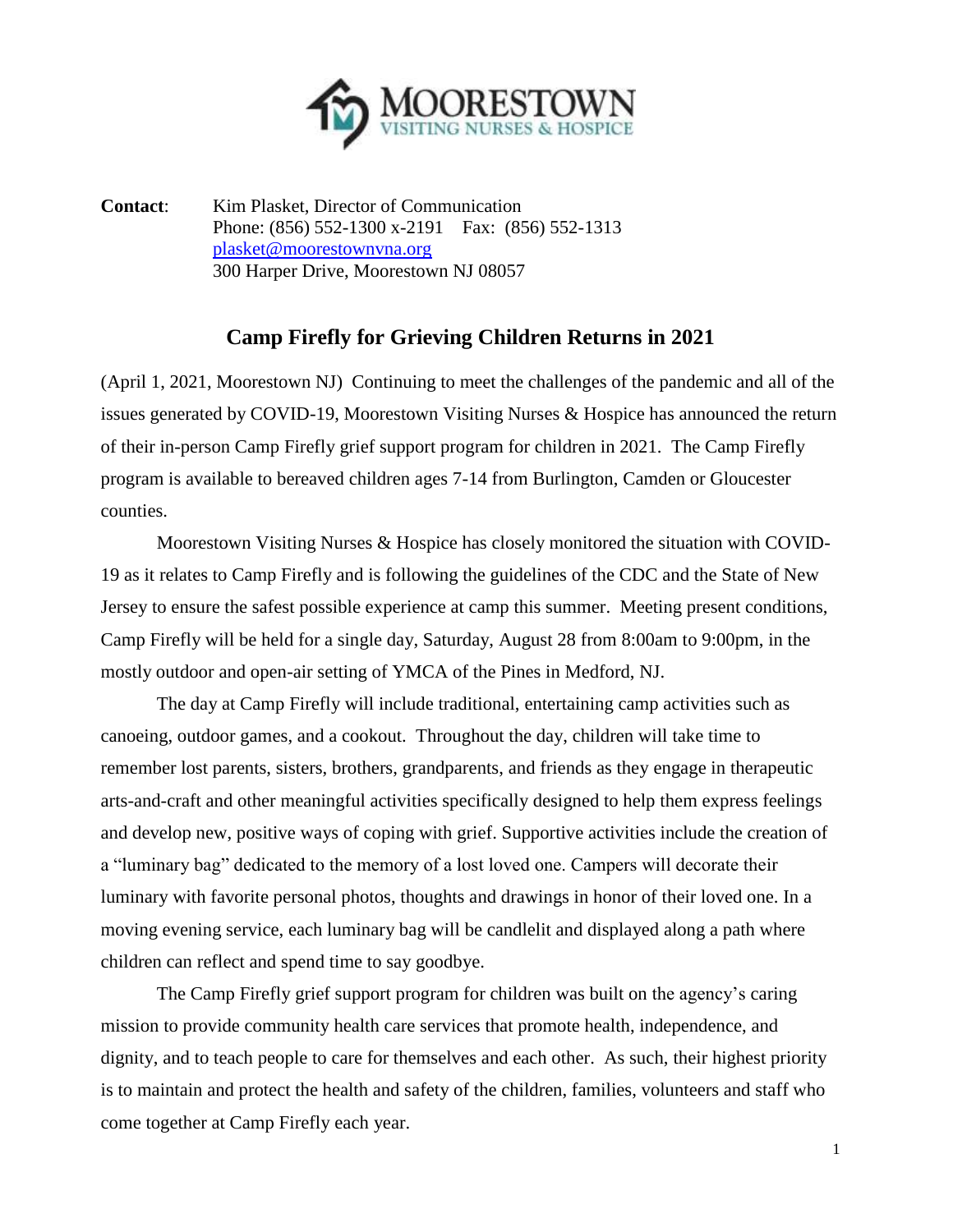

**Contact**: Kim Plasket, Director of Communication Phone: (856) 552-1300 x-2191 Fax: (856) 552-1313 [plasket@moorestownvna.org](mailto:plasket@moorestownvna.org) 300 Harper Drive, Moorestown NJ 08057

## **Camp Firefly for Grieving Children Returns in 2021**

(April 1, 2021, Moorestown NJ) Continuing to meet the challenges of the pandemic and all of the issues generated by COVID-19, Moorestown Visiting Nurses & Hospice has announced the return of their in-person Camp Firefly grief support program for children in 2021. The Camp Firefly program is available to bereaved children ages 7-14 from Burlington, Camden or Gloucester counties.

Moorestown Visiting Nurses & Hospice has closely monitored the situation with COVID-19 as it relates to Camp Firefly and is following the guidelines of the CDC and the State of New Jersey to ensure the safest possible experience at camp this summer. Meeting present conditions, Camp Firefly will be held for a single day, Saturday, August 28 from 8:00am to 9:00pm, in the mostly outdoor and open-air setting of YMCA of the Pines in Medford, NJ.

The day at Camp Firefly will include traditional, entertaining camp activities such as canoeing, outdoor games, and a cookout. Throughout the day, children will take time to remember lost parents, sisters, brothers, grandparents, and friends as they engage in therapeutic arts-and-craft and other meaningful activities specifically designed to help them express feelings and develop new, positive ways of coping with grief. Supportive activities include the creation of a "luminary bag" dedicated to the memory of a lost loved one. Campers will decorate their luminary with favorite personal photos, thoughts and drawings in honor of their loved one. In a moving evening service, each luminary bag will be candlelit and displayed along a path where children can reflect and spend time to say goodbye.

The Camp Firefly grief support program for children was built on the agency's caring mission to provide community health care services that promote health, independence, and dignity, and to teach people to care for themselves and each other. As such, their highest priority is to maintain and protect the health and safety of the children, families, volunteers and staff who come together at Camp Firefly each year.